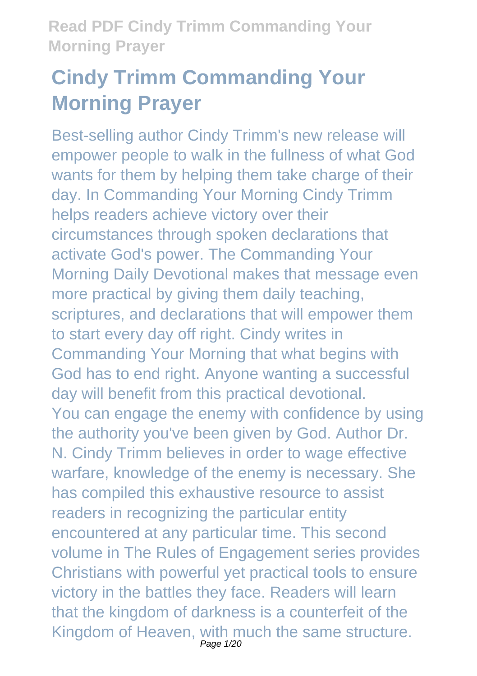# **Cindy Trimm Commanding Your Morning Prayer**

Best-selling author Cindy Trimm's new release will empower people to walk in the fullness of what God wants for them by helping them take charge of their day. In Commanding Your Morning Cindy Trimm helps readers achieve victory over their circumstances through spoken declarations that activate God's power. The Commanding Your Morning Daily Devotional makes that message even more practical by giving them daily teaching, scriptures, and declarations that will empower them to start every day off right. Cindy writes in Commanding Your Morning that what begins with God has to end right. Anyone wanting a successful day will benefit from this practical devotional. You can engage the enemy with confidence by using the authority you've been given by God. Author Dr. N. Cindy Trimm believes in order to wage effective warfare, knowledge of the enemy is necessary. She has compiled this exhaustive resource to assist readers in recognizing the particular entity encountered at any particular time. This second volume in The Rules of Engagement series provides Christians with powerful yet practical tools to ensure victory in the battles they face. Readers will learn that the kingdom of darkness is a counterfeit of the Kingdom of Heaven, with much the same structure.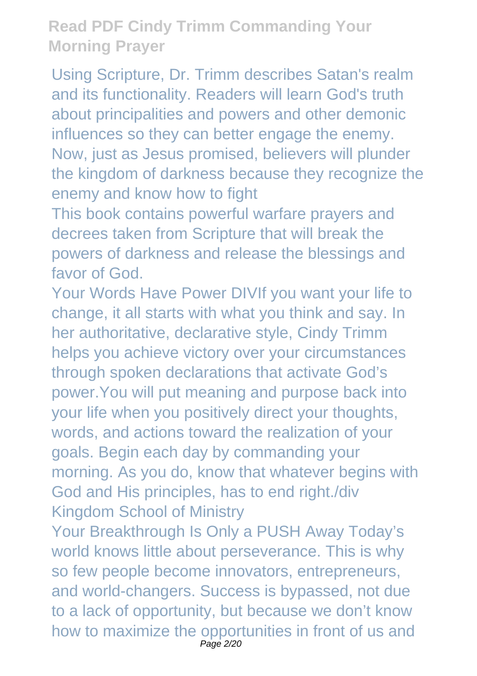Using Scripture, Dr. Trimm describes Satan's realm and its functionality. Readers will learn God's truth about principalities and powers and other demonic influences so they can better engage the enemy. Now, just as Jesus promised, believers will plunder the kingdom of darkness because they recognize the enemy and know how to fight

This book contains powerful warfare prayers and decrees taken from Scripture that will break the powers of darkness and release the blessings and favor of God.

Your Words Have Power DIVIf you want your life to change, it all starts with what you think and say. In her authoritative, declarative style, Cindy Trimm helps you achieve victory over your circumstances through spoken declarations that activate God's power.You will put meaning and purpose back into your life when you positively direct your thoughts, words, and actions toward the realization of your goals. Begin each day by commanding your morning. As you do, know that whatever begins with God and His principles, has to end right./div Kingdom School of Ministry

Your Breakthrough Is Only a PUSH Away Today's world knows little about perseverance. This is why so few people become innovators, entrepreneurs, and world-changers. Success is bypassed, not due to a lack of opportunity, but because we don't know how to maximize the opportunities in front of us and Page 2/20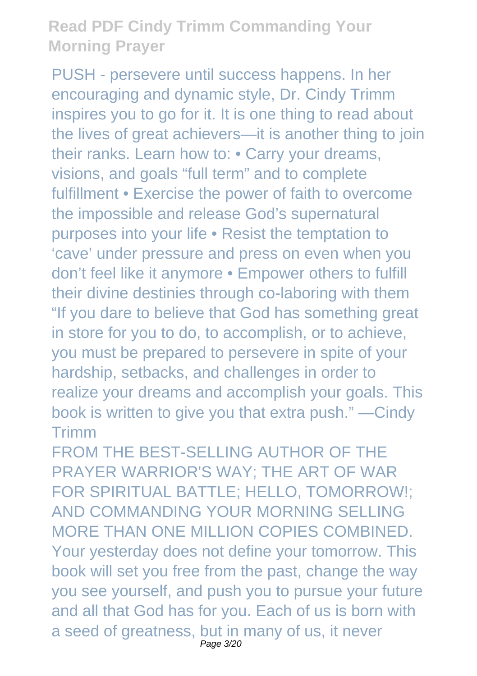PUSH - persevere until success happens. In her encouraging and dynamic style, Dr. Cindy Trimm inspires you to go for it. It is one thing to read about the lives of great achievers—it is another thing to join their ranks. Learn how to: • Carry your dreams, visions, and goals "full term" and to complete fulfillment • Exercise the power of faith to overcome the impossible and release God's supernatural purposes into your life • Resist the temptation to 'cave' under pressure and press on even when you don't feel like it anymore • Empower others to fulfill their divine destinies through co-laboring with them "If you dare to believe that God has something great in store for you to do, to accomplish, or to achieve, you must be prepared to persevere in spite of your hardship, setbacks, and challenges in order to realize your dreams and accomplish your goals. This book is written to give you that extra push." —Cindy Trimm

FROM THE BEST-SELLING AUTHOR OF THE PRAYER WARRIOR'S WAY; THE ART OF WAR FOR SPIRITUAL BATTLE; HELLO, TOMORROW!; AND COMMANDING YOUR MORNING SELLING MORE THAN ONE MILLION COPIES COMBINED. Your yesterday does not define your tomorrow. This book will set you free from the past, change the way you see yourself, and push you to pursue your future and all that God has for you. Each of us is born with a seed of greatness, but in many of us, it never Page 3/20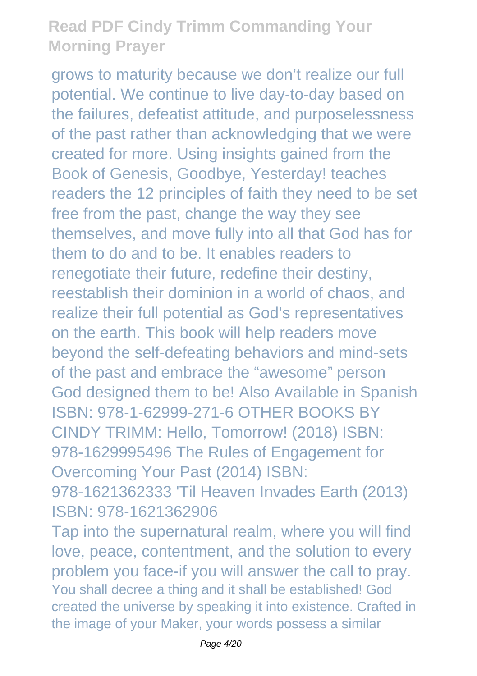grows to maturity because we don't realize our full potential. We continue to live day-to-day based on the failures, defeatist attitude, and purposelessness of the past rather than acknowledging that we were created for more. Using insights gained from the Book of Genesis, Goodbye, Yesterday! teaches readers the 12 principles of faith they need to be set free from the past, change the way they see themselves, and move fully into all that God has for them to do and to be. It enables readers to renegotiate their future, redefine their destiny, reestablish their dominion in a world of chaos, and realize their full potential as God's representatives on the earth. This book will help readers move beyond the self-defeating behaviors and mind-sets of the past and embrace the "awesome" person God designed them to be! Also Available in Spanish ISBN: 978-1-62999-271-6 OTHER BOOKS BY CINDY TRIMM: Hello, Tomorrow! (2018) ISBN: 978-1629995496 The Rules of Engagement for Overcoming Your Past (2014) ISBN: 978-1621362333 'Til Heaven Invades Earth (2013)

ISBN: 978-1621362906

Tap into the supernatural realm, where you will find love, peace, contentment, and the solution to every problem you face-if you will answer the call to pray. You shall decree a thing and it shall be established! God created the universe by speaking it into existence. Crafted in the image of your Maker, your words possess a similar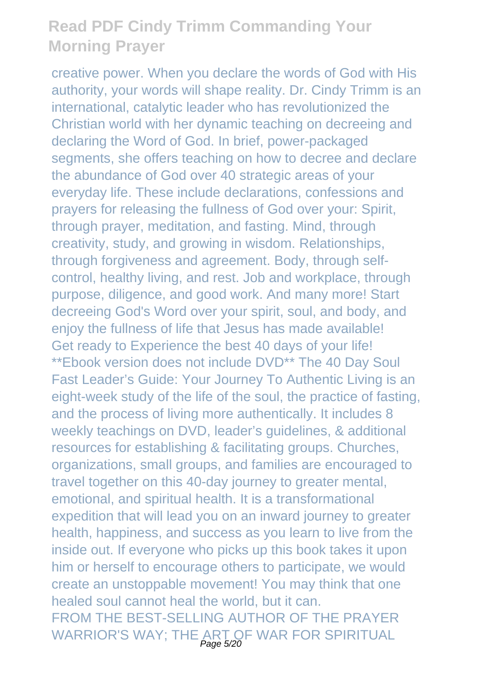creative power. When you declare the words of God with His authority, your words will shape reality. Dr. Cindy Trimm is an international, catalytic leader who has revolutionized the Christian world with her dynamic teaching on decreeing and declaring the Word of God. In brief, power-packaged segments, she offers teaching on how to decree and declare the abundance of God over 40 strategic areas of your everyday life. These include declarations, confessions and prayers for releasing the fullness of God over your: Spirit, through prayer, meditation, and fasting. Mind, through creativity, study, and growing in wisdom. Relationships, through forgiveness and agreement. Body, through selfcontrol, healthy living, and rest. Job and workplace, through purpose, diligence, and good work. And many more! Start decreeing God's Word over your spirit, soul, and body, and enjoy the fullness of life that Jesus has made available! Get ready to Experience the best 40 days of your life! \*\*Ebook version does not include DVD\*\* The 40 Day Soul Fast Leader's Guide: Your Journey To Authentic Living is an eight-week study of the life of the soul, the practice of fasting, and the process of living more authentically. It includes 8 weekly teachings on DVD, leader's guidelines, & additional resources for establishing & facilitating groups. Churches, organizations, small groups, and families are encouraged to travel together on this 40-day journey to greater mental, emotional, and spiritual health. It is a transformational expedition that will lead you on an inward journey to greater health, happiness, and success as you learn to live from the inside out. If everyone who picks up this book takes it upon him or herself to encourage others to participate, we would create an unstoppable movement! You may think that one healed soul cannot heal the world, but it can. FROM THE BEST-SELLING AUTHOR OF THE PRAYER WARRIOR'S WAY; THE ART OF WAR FOR SPIRITUAL<br>Page 5/20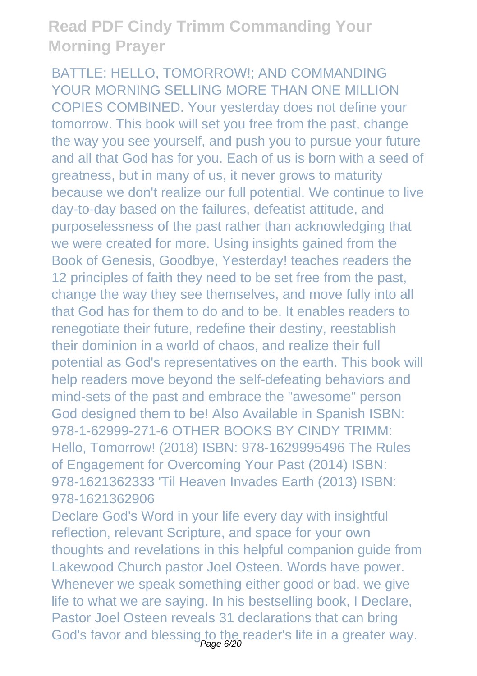BATTLE; HELLO, TOMORROW!; AND COMMANDING YOUR MORNING SELLING MORE THAN ONE MILLION COPIES COMBINED. Your yesterday does not define your tomorrow. This book will set you free from the past, change the way you see yourself, and push you to pursue your future and all that God has for you. Each of us is born with a seed of greatness, but in many of us, it never grows to maturity because we don't realize our full potential. We continue to live day-to-day based on the failures, defeatist attitude, and purposelessness of the past rather than acknowledging that we were created for more. Using insights gained from the Book of Genesis, Goodbye, Yesterday! teaches readers the 12 principles of faith they need to be set free from the past, change the way they see themselves, and move fully into all that God has for them to do and to be. It enables readers to renegotiate their future, redefine their destiny, reestablish their dominion in a world of chaos, and realize their full potential as God's representatives on the earth. This book will help readers move beyond the self-defeating behaviors and mind-sets of the past and embrace the "awesome" person God designed them to be! Also Available in Spanish ISBN: 978-1-62999-271-6 OTHER BOOKS BY CINDY TRIMM: Hello, Tomorrow! (2018) ISBN: 978-1629995496 The Rules of Engagement for Overcoming Your Past (2014) ISBN: 978-1621362333 'Til Heaven Invades Earth (2013) ISBN: 978-1621362906

Declare God's Word in your life every day with insightful reflection, relevant Scripture, and space for your own thoughts and revelations in this helpful companion guide from Lakewood Church pastor Joel Osteen. Words have power. Whenever we speak something either good or bad, we give life to what we are saying. In his bestselling book, I Declare, Pastor Joel Osteen reveals 31 declarations that can bring God's favor and blessing to the reader's life in a greater way.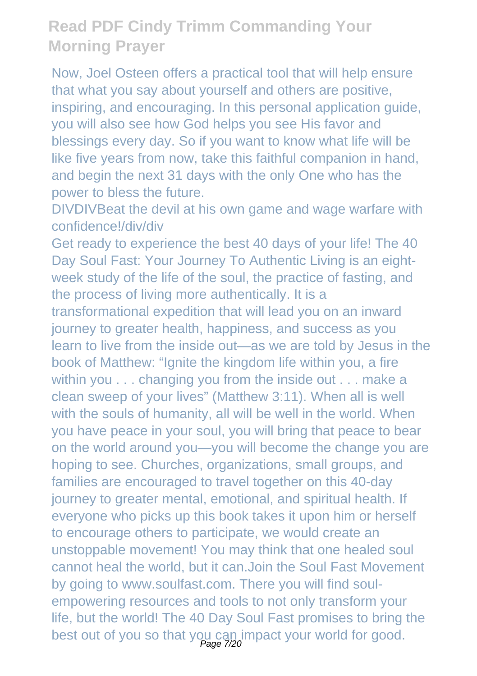Now, Joel Osteen offers a practical tool that will help ensure that what you say about yourself and others are positive, inspiring, and encouraging. In this personal application guide. you will also see how God helps you see His favor and blessings every day. So if you want to know what life will be like five years from now, take this faithful companion in hand, and begin the next 31 days with the only One who has the power to bless the future.

DIVDIVBeat the devil at his own game and wage warfare with confidence!/div/div

Get ready to experience the best 40 days of your life! The 40 Day Soul Fast: Your Journey To Authentic Living is an eightweek study of the life of the soul, the practice of fasting, and the process of living more authentically. It is a

transformational expedition that will lead you on an inward journey to greater health, happiness, and success as you learn to live from the inside out—as we are told by Jesus in the book of Matthew: "Ignite the kingdom life within you, a fire within you . . . changing you from the inside out . . . make a clean sweep of your lives" (Matthew 3:11). When all is well with the souls of humanity, all will be well in the world. When you have peace in your soul, you will bring that peace to bear on the world around you—you will become the change you are hoping to see. Churches, organizations, small groups, and families are encouraged to travel together on this 40-day journey to greater mental, emotional, and spiritual health. If everyone who picks up this book takes it upon him or herself to encourage others to participate, we would create an unstoppable movement! You may think that one healed soul cannot heal the world, but it can.Join the Soul Fast Movement by going to www.soulfast.com. There you will find soulempowering resources and tools to not only transform your life, but the world! The 40 Day Soul Fast promises to bring the best out of you so that you can impact your world for good.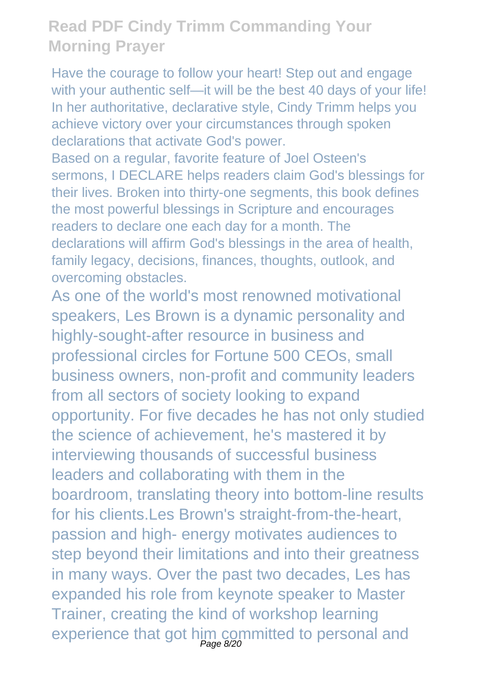Have the courage to follow your heart! Step out and engage with your authentic self—it will be the best 40 days of your life! In her authoritative, declarative style, Cindy Trimm helps you achieve victory over your circumstances through spoken declarations that activate God's power.

Based on a regular, favorite feature of Joel Osteen's sermons, I DECLARE helps readers claim God's blessings for their lives. Broken into thirty-one segments, this book defines the most powerful blessings in Scripture and encourages readers to declare one each day for a month. The declarations will affirm God's blessings in the area of health, family legacy, decisions, finances, thoughts, outlook, and overcoming obstacles.

As one of the world's most renowned motivational speakers, Les Brown is a dynamic personality and highly-sought-after resource in business and professional circles for Fortune 500 CEOs, small business owners, non-profit and community leaders from all sectors of society looking to expand opportunity. For five decades he has not only studied the science of achievement, he's mastered it by interviewing thousands of successful business leaders and collaborating with them in the boardroom, translating theory into bottom-line results for his clients.Les Brown's straight-from-the-heart, passion and high- energy motivates audiences to step beyond their limitations and into their greatness in many ways. Over the past two decades, Les has expanded his role from keynote speaker to Master Trainer, creating the kind of workshop learning experience that got him committed to personal and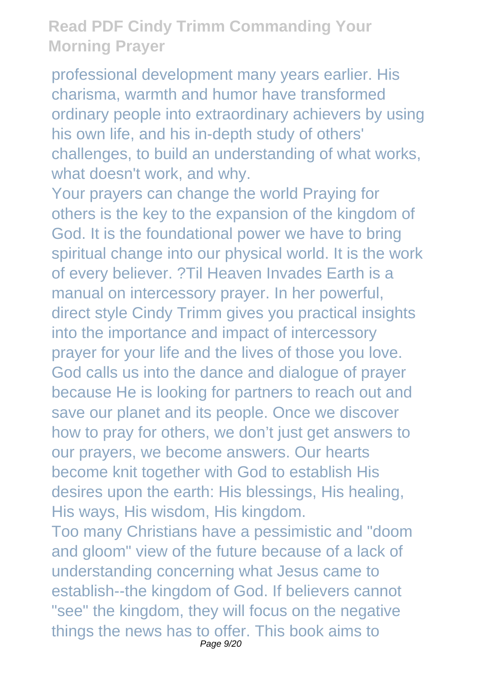professional development many years earlier. His charisma, warmth and humor have transformed ordinary people into extraordinary achievers by using his own life, and his in-depth study of others' challenges, to build an understanding of what works, what doesn't work, and why.

Your prayers can change the world Praying for others is the key to the expansion of the kingdom of God. It is the foundational power we have to bring spiritual change into our physical world. It is the work of every believer. ?Til Heaven Invades Earth is a manual on intercessory prayer. In her powerful, direct style Cindy Trimm gives you practical insights into the importance and impact of intercessory prayer for your life and the lives of those you love. God calls us into the dance and dialogue of prayer because He is looking for partners to reach out and save our planet and its people. Once we discover how to pray for others, we don't just get answers to our prayers, we become answers. Our hearts become knit together with God to establish His desires upon the earth: His blessings, His healing, His ways, His wisdom, His kingdom. Too many Christians have a pessimistic and "doom and gloom" view of the future because of a lack of understanding concerning what Jesus came to

establish--the kingdom of God. If believers cannot "see" the kingdom, they will focus on the negative things the news has to offer. This book aims to Page 9/20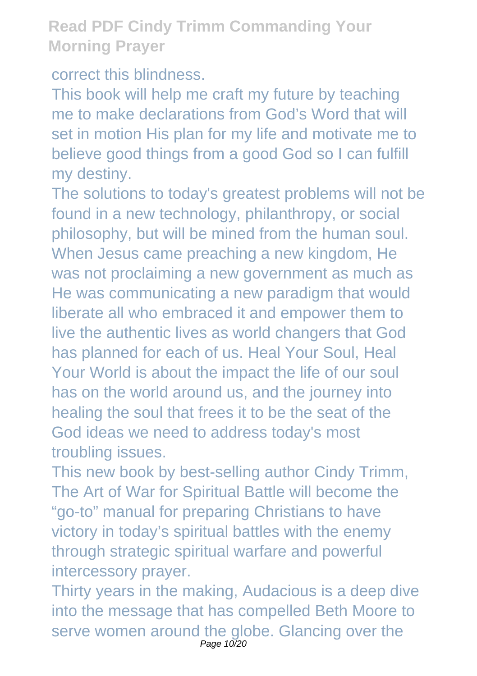correct this blindness.

This book will help me craft my future by teaching me to make declarations from God's Word that will set in motion His plan for my life and motivate me to believe good things from a good God so I can fulfill my destiny.

The solutions to today's greatest problems will not be found in a new technology, philanthropy, or social philosophy, but will be mined from the human soul. When Jesus came preaching a new kingdom, He was not proclaiming a new government as much as He was communicating a new paradigm that would liberate all who embraced it and empower them to live the authentic lives as world changers that God has planned for each of us. Heal Your Soul, Heal Your World is about the impact the life of our soul has on the world around us, and the journey into healing the soul that frees it to be the seat of the God ideas we need to address today's most troubling issues.

This new book by best-selling author Cindy Trimm, The Art of War for Spiritual Battle will become the "go-to" manual for preparing Christians to have victory in today's spiritual battles with the enemy through strategic spiritual warfare and powerful intercessory prayer.

Thirty years in the making, Audacious is a deep dive into the message that has compelled Beth Moore to serve women around the globe. Glancing over the Page 10/20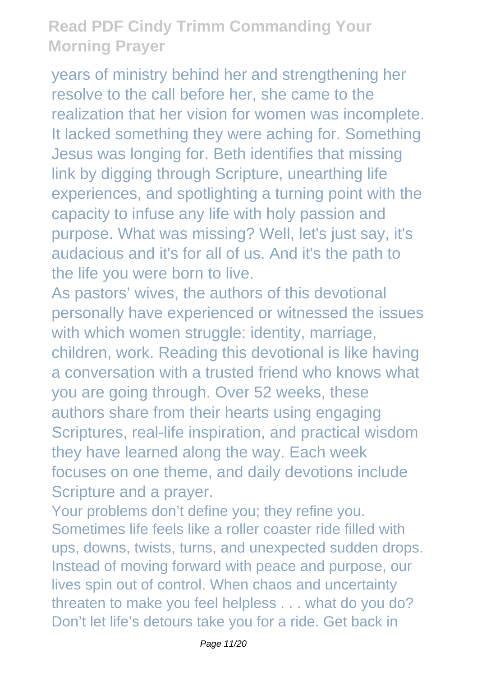years of ministry behind her and strengthening her resolve to the call before her, she came to the realization that her vision for women was incomplete. It lacked something they were aching for. Something Jesus was longing for. Beth identifies that missing link by digging through Scripture, unearthing life experiences, and spotlighting a turning point with the capacity to infuse any life with holy passion and purpose. What was missing? Well, let's just say, it's audacious and it's for all of us. And it's the path to the life you were born to live.

As pastors' wives, the authors of this devotional personally have experienced or witnessed the issues with which women struggle: identity, marriage, children, work. Reading this devotional is like having a conversation with a trusted friend who knows what you are going through. Over 52 weeks, these authors share from their hearts using engaging Scriptures, real-life inspiration, and practical wisdom they have learned along the way. Each week focuses on one theme, and daily devotions include Scripture and a prayer.

Your problems don't define you; they refine you. Sometimes life feels like a roller coaster ride filled with ups, downs, twists, turns, and unexpected sudden drops. Instead of moving forward with peace and purpose, our lives spin out of control. When chaos and uncertainty threaten to make you feel helpless . . . what do you do? Don't let life's detours take you for a ride. Get back in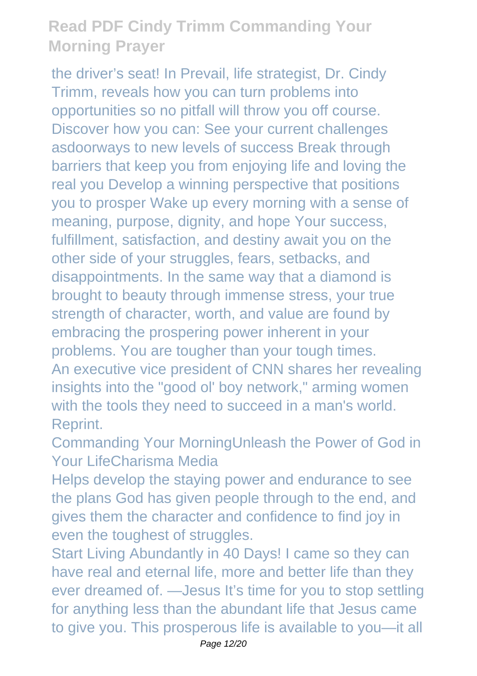the driver's seat! In Prevail, life strategist, Dr. Cindy Trimm, reveals how you can turn problems into opportunities so no pitfall will throw you off course. Discover how you can: See your current challenges asdoorways to new levels of success Break through barriers that keep you from enjoying life and loving the real you Develop a winning perspective that positions you to prosper Wake up every morning with a sense of meaning, purpose, dignity, and hope Your success, fulfillment, satisfaction, and destiny await you on the other side of your struggles, fears, setbacks, and disappointments. In the same way that a diamond is brought to beauty through immense stress, your true strength of character, worth, and value are found by embracing the prospering power inherent in your problems. You are tougher than your tough times. An executive vice president of CNN shares her revealing insights into the "good ol' boy network," arming women with the tools they need to succeed in a man's world. Reprint.

Commanding Your MorningUnleash the Power of God in Your LifeCharisma Media

Helps develop the staying power and endurance to see the plans God has given people through to the end, and gives them the character and confidence to find joy in even the toughest of struggles.

Start Living Abundantly in 40 Days! I came so they can have real and eternal life, more and better life than they ever dreamed of. —Jesus It's time for you to stop settling for anything less than the abundant life that Jesus came to give you. This prosperous life is available to you—it all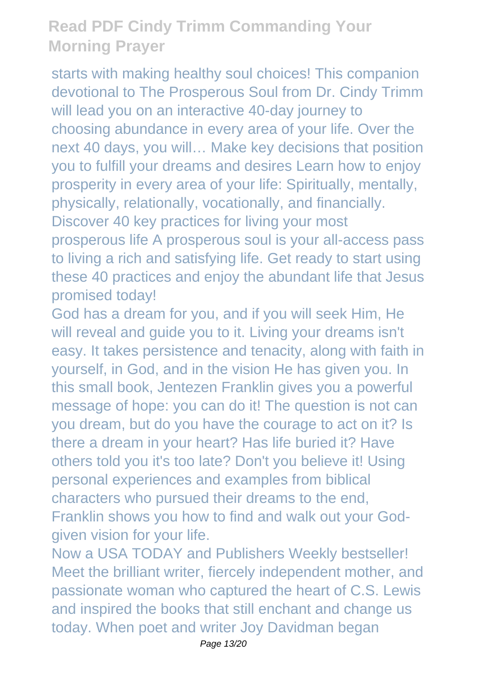starts with making healthy soul choices! This companion devotional to The Prosperous Soul from Dr. Cindy Trimm will lead you on an interactive 40-day journey to choosing abundance in every area of your life. Over the next 40 days, you will… Make key decisions that position you to fulfill your dreams and desires Learn how to enjoy prosperity in every area of your life: Spiritually, mentally, physically, relationally, vocationally, and financially. Discover 40 key practices for living your most prosperous life A prosperous soul is your all-access pass to living a rich and satisfying life. Get ready to start using these 40 practices and enjoy the abundant life that Jesus promised today!

God has a dream for you, and if you will seek Him, He will reveal and guide you to it. Living your dreams isn't easy. It takes persistence and tenacity, along with faith in yourself, in God, and in the vision He has given you. In this small book, Jentezen Franklin gives you a powerful message of hope: you can do it! The question is not can you dream, but do you have the courage to act on it? Is there a dream in your heart? Has life buried it? Have others told you it's too late? Don't you believe it! Using personal experiences and examples from biblical characters who pursued their dreams to the end, Franklin shows you how to find and walk out your Godgiven vision for your life.

Now a USA TODAY and Publishers Weekly bestseller! Meet the brilliant writer, fiercely independent mother, and passionate woman who captured the heart of C.S. Lewis and inspired the books that still enchant and change us today. When poet and writer Joy Davidman began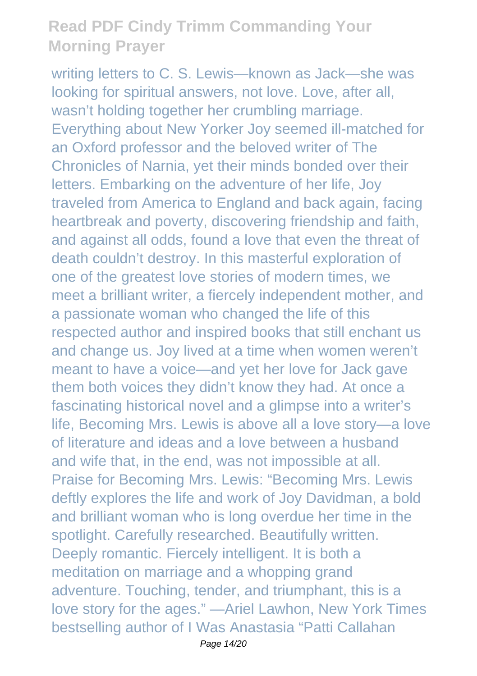writing letters to C. S. Lewis—known as Jack—she was looking for spiritual answers, not love. Love, after all, wasn't holding together her crumbling marriage. Everything about New Yorker Joy seemed ill-matched for an Oxford professor and the beloved writer of The Chronicles of Narnia, yet their minds bonded over their letters. Embarking on the adventure of her life, Joy traveled from America to England and back again, facing heartbreak and poverty, discovering friendship and faith, and against all odds, found a love that even the threat of death couldn't destroy. In this masterful exploration of one of the greatest love stories of modern times, we meet a brilliant writer, a fiercely independent mother, and a passionate woman who changed the life of this respected author and inspired books that still enchant us and change us. Joy lived at a time when women weren't meant to have a voice—and yet her love for Jack gave them both voices they didn't know they had. At once a fascinating historical novel and a glimpse into a writer's life, Becoming Mrs. Lewis is above all a love story—a love of literature and ideas and a love between a husband and wife that, in the end, was not impossible at all. Praise for Becoming Mrs. Lewis: "Becoming Mrs. Lewis deftly explores the life and work of Joy Davidman, a bold and brilliant woman who is long overdue her time in the spotlight. Carefully researched. Beautifully written. Deeply romantic. Fiercely intelligent. It is both a meditation on marriage and a whopping grand adventure. Touching, tender, and triumphant, this is a love story for the ages." —Ariel Lawhon, New York Times bestselling author of I Was Anastasia "Patti Callahan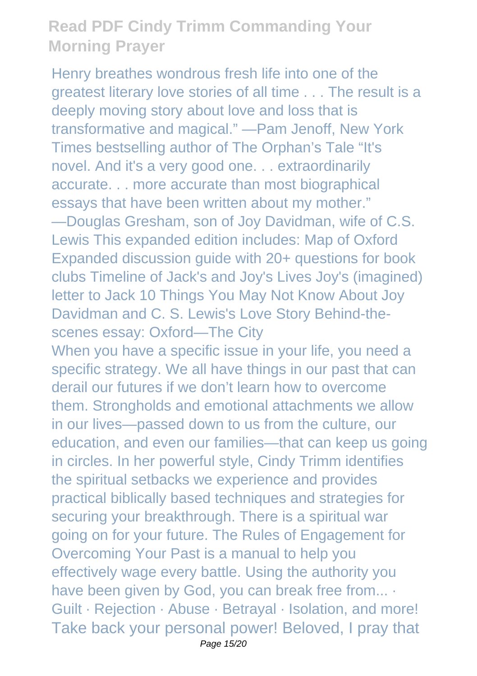Henry breathes wondrous fresh life into one of the greatest literary love stories of all time . . . The result is a deeply moving story about love and loss that is transformative and magical." —Pam Jenoff, New York Times bestselling author of The Orphan's Tale "It's novel. And it's a very good one. . . extraordinarily accurate. . . more accurate than most biographical essays that have been written about my mother." —Douglas Gresham, son of Joy Davidman, wife of C.S. Lewis This expanded edition includes: Map of Oxford Expanded discussion guide with 20+ questions for book clubs Timeline of Jack's and Joy's Lives Joy's (imagined) letter to Jack 10 Things You May Not Know About Joy Davidman and C. S. Lewis's Love Story Behind-thescenes essay: Oxford—The City When you have a specific issue in your life, you need a specific strategy. We all have things in our past that can derail our futures if we don't learn how to overcome

them. Strongholds and emotional attachments we allow in our lives—passed down to us from the culture, our education, and even our families—that can keep us going in circles. In her powerful style, Cindy Trimm identifies the spiritual setbacks we experience and provides practical biblically based techniques and strategies for securing your breakthrough. There is a spiritual war going on for your future. The Rules of Engagement for Overcoming Your Past is a manual to help you effectively wage every battle. Using the authority you have been given by God, you can break free from... . Guilt · Rejection · Abuse · Betrayal · Isolation, and more! Take back your personal power! Beloved, I pray that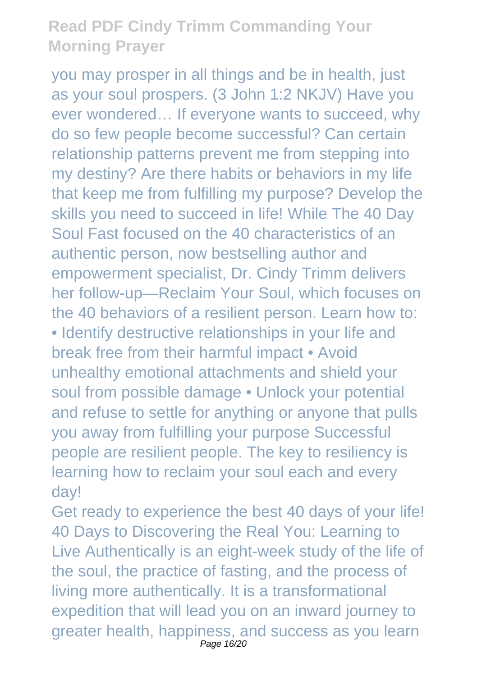you may prosper in all things and be in health, just as your soul prospers. (3 John 1:2 NKJV) Have you ever wondered… If everyone wants to succeed, why do so few people become successful? Can certain relationship patterns prevent me from stepping into my destiny? Are there habits or behaviors in my life that keep me from fulfilling my purpose? Develop the skills you need to succeed in life! While The 40 Day Soul Fast focused on the 40 characteristics of an authentic person, now bestselling author and empowerment specialist, Dr. Cindy Trimm delivers her follow-up—Reclaim Your Soul, which focuses on the 40 behaviors of a resilient person. Learn how to: • Identify destructive relationships in your life and break free from their harmful impact • Avoid unhealthy emotional attachments and shield your soul from possible damage • Unlock your potential and refuse to settle for anything or anyone that pulls you away from fulfilling your purpose Successful people are resilient people. The key to resiliency is learning how to reclaim your soul each and every day!

Get ready to experience the best 40 days of your life! 40 Days to Discovering the Real You: Learning to Live Authentically is an eight-week study of the life of the soul, the practice of fasting, and the process of living more authentically. It is a transformational expedition that will lead you on an inward journey to greater health, happiness, and success as you learn Page 16/20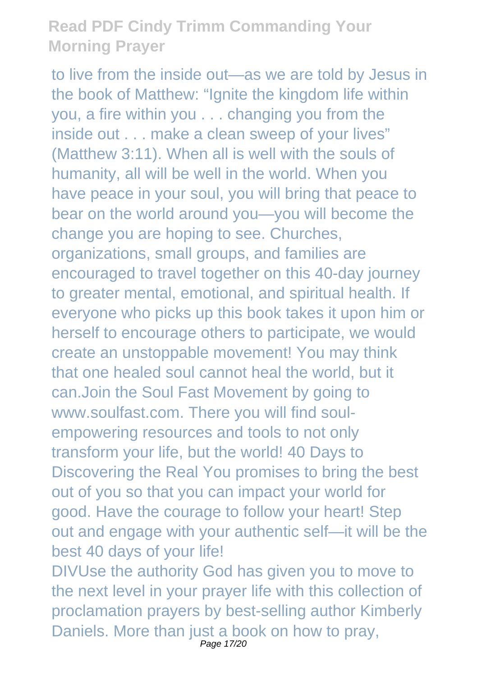to live from the inside out—as we are told by Jesus in the book of Matthew: "Ignite the kingdom life within you, a fire within you . . . changing you from the inside out . . . make a clean sweep of your lives" (Matthew 3:11). When all is well with the souls of humanity, all will be well in the world. When you have peace in your soul, you will bring that peace to bear on the world around you—you will become the change you are hoping to see. Churches, organizations, small groups, and families are encouraged to travel together on this 40-day journey to greater mental, emotional, and spiritual health. If everyone who picks up this book takes it upon him or herself to encourage others to participate, we would create an unstoppable movement! You may think that one healed soul cannot heal the world, but it can.Join the Soul Fast Movement by going to www.soulfast.com. There you will find soulempowering resources and tools to not only transform your life, but the world! 40 Days to Discovering the Real You promises to bring the best out of you so that you can impact your world for good. Have the courage to follow your heart! Step out and engage with your authentic self—it will be the best 40 days of your life! DIVUse the authority God has given you to move to the next level in your prayer life with this collection of proclamation prayers by best-selling author Kimberly Daniels. More than just a book on how to pray,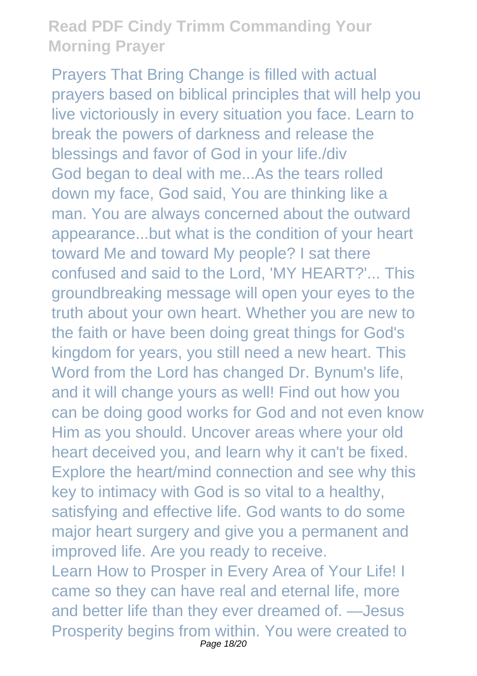Prayers That Bring Change is filled with actual prayers based on biblical principles that will help you live victoriously in every situation you face. Learn to break the powers of darkness and release the blessings and favor of God in your life./div God began to deal with me...As the tears rolled down my face, God said, You are thinking like a man. You are always concerned about the outward appearance...but what is the condition of your heart toward Me and toward My people? I sat there confused and said to the Lord, 'MY HEART?'... This groundbreaking message will open your eyes to the truth about your own heart. Whether you are new to the faith or have been doing great things for God's kingdom for years, you still need a new heart. This Word from the Lord has changed Dr. Bynum's life, and it will change yours as well! Find out how you can be doing good works for God and not even know Him as you should. Uncover areas where your old heart deceived you, and learn why it can't be fixed. Explore the heart/mind connection and see why this key to intimacy with God is so vital to a healthy, satisfying and effective life. God wants to do some major heart surgery and give you a permanent and improved life. Are you ready to receive. Learn How to Prosper in Every Area of Your Life! I came so they can have real and eternal life, more and better life than they ever dreamed of. —Jesus Prosperity begins from within. You were created to Page 18/20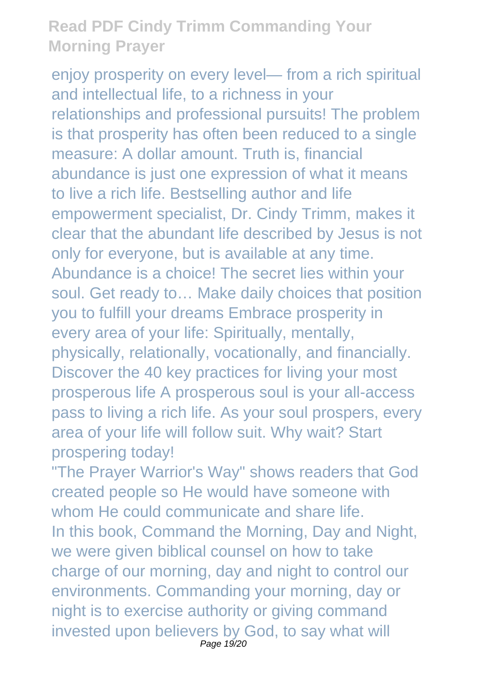enjoy prosperity on every level— from a rich spiritual and intellectual life, to a richness in your relationships and professional pursuits! The problem is that prosperity has often been reduced to a single measure: A dollar amount. Truth is, financial abundance is just one expression of what it means to live a rich life. Bestselling author and life empowerment specialist, Dr. Cindy Trimm, makes it clear that the abundant life described by Jesus is not only for everyone, but is available at any time. Abundance is a choice! The secret lies within your soul. Get ready to… Make daily choices that position you to fulfill your dreams Embrace prosperity in every area of your life: Spiritually, mentally, physically, relationally, vocationally, and financially. Discover the 40 key practices for living your most prosperous life A prosperous soul is your all-access pass to living a rich life. As your soul prospers, every area of your life will follow suit. Why wait? Start prospering today!

"The Prayer Warrior's Way" shows readers that God created people so He would have someone with whom He could communicate and share life. In this book, Command the Morning, Day and Night, we were given biblical counsel on how to take charge of our morning, day and night to control our environments. Commanding your morning, day or night is to exercise authority or giving command invested upon believers by God, to say what will Page 19/20